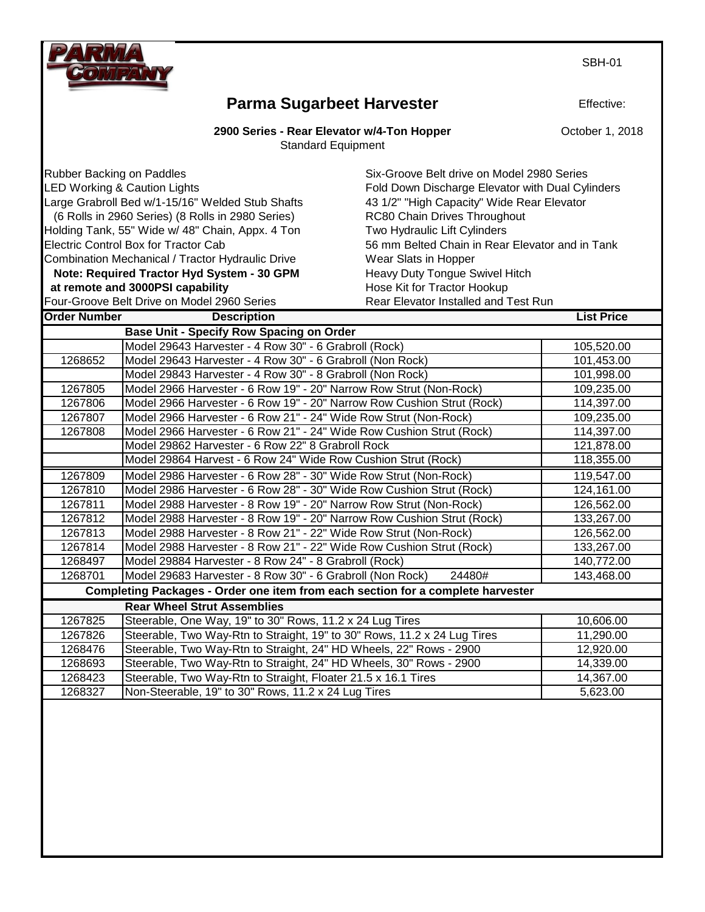

**Parma Sugarbeet Harvester**

**2900 Series - Rear Elevator w/4-Ton Hopper**

Standard Equipment

| Rubber Backing on Paddles                        |                                                                        | Six-Groove Belt drive on Model 2980 Series       |                   |
|--------------------------------------------------|------------------------------------------------------------------------|--------------------------------------------------|-------------------|
| <b>LED Working &amp; Caution Lights</b>          |                                                                        | Fold Down Discharge Elevator with Dual Cylinders |                   |
|                                                  | Large Grabroll Bed w/1-15/16" Welded Stub Shafts                       | 43 1/2" "High Capacity" Wide Rear Elevator       |                   |
|                                                  | (6 Rolls in 2960 Series) (8 Rolls in 2980 Series)                      | RC80 Chain Drives Throughout                     |                   |
|                                                  | Holding Tank, 55" Wide w/ 48" Chain, Appx. 4 Ton                       | Two Hydraulic Lift Cylinders                     |                   |
|                                                  | Electric Control Box for Tractor Cab                                   | 56 mm Belted Chain in Rear Elevator and in Tank  |                   |
| Combination Mechanical / Tractor Hydraulic Drive |                                                                        | Wear Slats in Hopper                             |                   |
|                                                  | Note: Required Tractor Hyd System - 30 GPM                             | Heavy Duty Tongue Swivel Hitch                   |                   |
| at remote and 3000PSI capability                 |                                                                        | Hose Kit for Tractor Hookup                      |                   |
|                                                  | Four-Groove Belt Drive on Model 2960 Series                            | Rear Elevator Installed and Test Run             |                   |
| <b>Order Number</b>                              | <b>Description</b>                                                     |                                                  | <b>List Price</b> |
|                                                  | <b>Base Unit - Specify Row Spacing on Order</b>                        |                                                  |                   |
|                                                  | Model 29643 Harvester - 4 Row 30" - 6 Grabroll (Rock)                  |                                                  | 105,520.00        |
| 1268652                                          | Model 29643 Harvester - 4 Row 30" - 6 Grabroll (Non Rock)              |                                                  | 101,453.00        |
|                                                  | Model 29843 Harvester - 4 Row 30" - 8 Grabroll (Non Rock)              |                                                  | 101,998.00        |
| 1267805                                          | Model 2966 Harvester - 6 Row 19" - 20" Narrow Row Strut (Non-Rock)     |                                                  | 109,235.00        |
| 1267806                                          | Model 2966 Harvester - 6 Row 19" - 20" Narrow Row Cushion Strut (Rock) |                                                  | 114,397.00        |
| 1267807                                          | Model 2966 Harvester - 6 Row 21" - 24" Wide Row Strut (Non-Rock)       |                                                  | 109,235.00        |

1267808 Model 2966 Harvester - 6 Row 21" - 24" Wide Row Cushion Strut (Rock) 114,397.00

1267809 Model 2986 Harvester - 6 Row 28" - 30" Wide Row Strut (Non-Rock) 1995-119,547.00 1267810 Model 2986 Harvester - 6 Row 28" - 30" Wide Row Cushion Strut (Rock) 124,161.00 1267811 Model 2988 Harvester - 8 Row 19" - 20" Narrow Row Strut (Non-Rock) 126,562.00 1267812 | Model 2988 Harvester - 8 Row 19" - 20" Narrow Row Cushion Strut (Rock) | 133,267.00 1267813 Model 2988 Harvester - 8 Row 21" - 22" Wide Row Strut (Non-Rock) 126,562.00 1267814 | Model 2988 Harvester - 8 Row 21" - 22" Wide Row Cushion Strut (Rock) | 133,267.00 1268497 | Model 29884 Harvester - 8 Row 24" - 8 Grabroll (Rock) | 140,772.00

Model 29862 Harvester - 6 Row 22" 8 Grabroll Rock 120 121,878.00 Model 29864 Harvest - 6 Row 24" Wide Row Cushion Strut (Rock) 118,355.00

1268701 Model 29683 Harvester - 8 Row 30" - 6 Grabroll (Non Rock) 24480# 143,468.00  **Completing Packages - Order one item from each section for a complete harvester**

|         | <b>Rear Wheel Strut Assemblies</b>                                       |           |
|---------|--------------------------------------------------------------------------|-----------|
| 1267825 | Steerable, One Way, 19" to 30" Rows, 11.2 x 24 Lug Tires                 | 10,606.00 |
| 1267826 | Steerable, Two Way-Rtn to Straight, 19" to 30" Rows, 11.2 x 24 Lug Tires | 11,290.00 |
| 1268476 | Steerable, Two Way-Rtn to Straight, 24" HD Wheels, 22" Rows - 2900       | 12,920.00 |
| 1268693 | Steerable, Two Way-Rtn to Straight, 24" HD Wheels, 30" Rows - 2900       | 14,339.00 |
| 1268423 | Steerable, Two Way-Rtn to Straight, Floater 21.5 x 16.1 Tires            | 14,367.00 |
| 1268327 | Non-Steerable, 19" to 30" Rows, 11.2 x 24 Lug Tires                      | 5,623.00  |

Effective:

SBH-01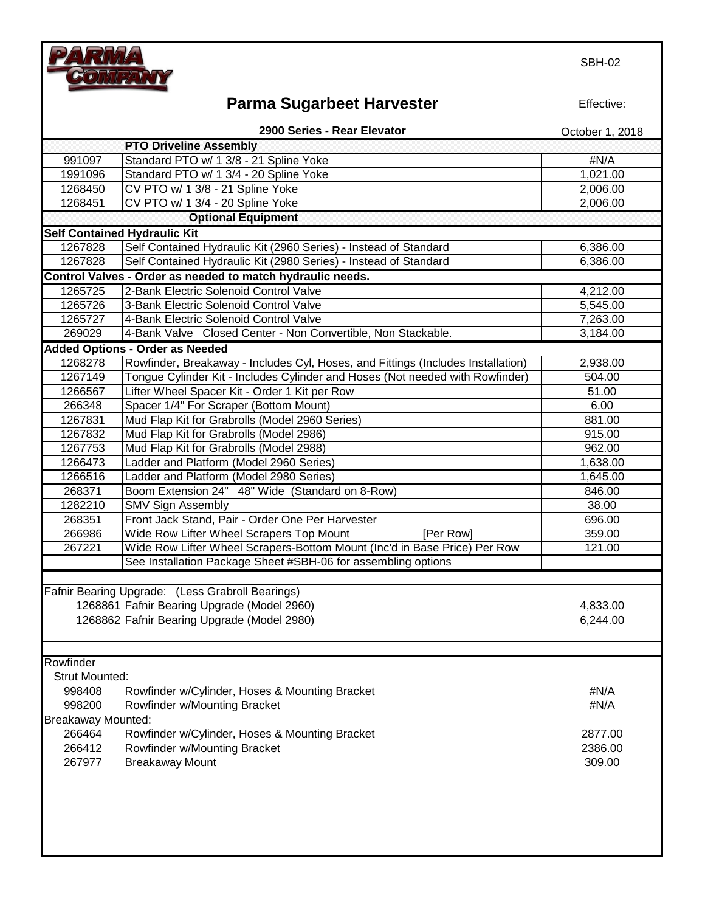

# **Parma Sugarbeet Harvester**

Effective:

**2900 Series - Rear Elevator**

|                           | <b>PTO Driveline Assembly</b>                                                    |          |
|---------------------------|----------------------------------------------------------------------------------|----------|
| 991097                    | Standard PTO w/ 1 3/8 - 21 Spline Yoke                                           | #N/A     |
| 1991096                   | Standard PTO w/ 1 3/4 - 20 Spline Yoke                                           | 1,021.00 |
| 1268450                   | CV PTO w/ 1 3/8 - 21 Spline Yoke                                                 | 2,006.00 |
| 1268451                   | CV PTO w/ 1 3/4 - 20 Spline Yoke                                                 | 2,006.00 |
|                           | <b>Optional Equipment</b>                                                        |          |
|                           | <b>Self Contained Hydraulic Kit</b>                                              |          |
| 1267828                   | Self Contained Hydraulic Kit (2960 Series) - Instead of Standard                 | 6,386.00 |
| 1267828                   | Self Contained Hydraulic Kit (2980 Series) - Instead of Standard                 | 6,386.00 |
|                           | Control Valves - Order as needed to match hydraulic needs.                       |          |
| 1265725                   | 2-Bank Electric Solenoid Control Valve                                           | 4,212.00 |
| 1265726                   | 3-Bank Electric Solenoid Control Valve                                           | 5,545.00 |
| 1265727                   | 4-Bank Electric Solenoid Control Valve                                           | 7,263.00 |
| 269029                    | 4-Bank Valve Closed Center - Non Convertible, Non Stackable.                     | 3,184.00 |
|                           | <b>Added Options - Order as Needed</b>                                           |          |
| 1268278                   | Rowfinder, Breakaway - Includes Cyl, Hoses, and Fittings (Includes Installation) | 2,938.00 |
| 1267149                   | Tongue Cylinder Kit - Includes Cylinder and Hoses (Not needed with Rowfinder)    | 504.00   |
| 1266567                   | Lifter Wheel Spacer Kit - Order 1 Kit per Row                                    | 51.00    |
| 266348                    | Spacer 1/4" For Scraper (Bottom Mount)                                           | 6.00     |
| 1267831                   | Mud Flap Kit for Grabrolls (Model 2960 Series)                                   | 881.00   |
| 1267832                   | Mud Flap Kit for Grabrolls (Model 2986)                                          | 915.00   |
| 1267753                   | Mud Flap Kit for Grabrolls (Model 2988)                                          | 962.00   |
| 1266473                   | Ladder and Platform (Model 2960 Series)                                          | 1,638.00 |
| 1266516                   | Ladder and Platform (Model 2980 Series)                                          | 1,645.00 |
| 268371                    | Boom Extension 24" 48" Wide (Standard on 8-Row)                                  | 846.00   |
| 1282210                   | <b>SMV Sign Assembly</b>                                                         | 38.00    |
| 268351                    | Front Jack Stand, Pair - Order One Per Harvester                                 | 696.00   |
| 266986                    | Wide Row Lifter Wheel Scrapers Top Mount<br>[Per Row]                            | 359.00   |
| 267221                    | Wide Row Lifter Wheel Scrapers-Bottom Mount (Inc'd in Base Price) Per Row        | 121.00   |
|                           | See Installation Package Sheet #SBH-06 for assembling options                    |          |
|                           |                                                                                  |          |
|                           | Fafnir Bearing Upgrade: (Less Grabroll Bearings)                                 |          |
|                           | 1268861 Fafnir Bearing Upgrade (Model 2960)                                      | 4,833.00 |
|                           | 1268862 Fafnir Bearing Upgrade (Model 2980)                                      | 6,244.00 |
|                           |                                                                                  |          |
| Rowfinder                 |                                                                                  |          |
| <b>Strut Mounted:</b>     |                                                                                  |          |
| 998408                    | Rowfinder w/Cylinder, Hoses & Mounting Bracket                                   | #N/A     |
| 998200                    | Rowfinder w/Mounting Bracket                                                     | #N/A     |
| <b>Breakaway Mounted:</b> |                                                                                  |          |
| 266464                    | Rowfinder w/Cylinder, Hoses & Mounting Bracket                                   | 2877.00  |
| 266412                    | Rowfinder w/Mounting Bracket                                                     | 2386.00  |
| 267977                    | <b>Breakaway Mount</b>                                                           | 309.00   |
|                           |                                                                                  |          |
|                           |                                                                                  |          |
|                           |                                                                                  |          |
|                           |                                                                                  |          |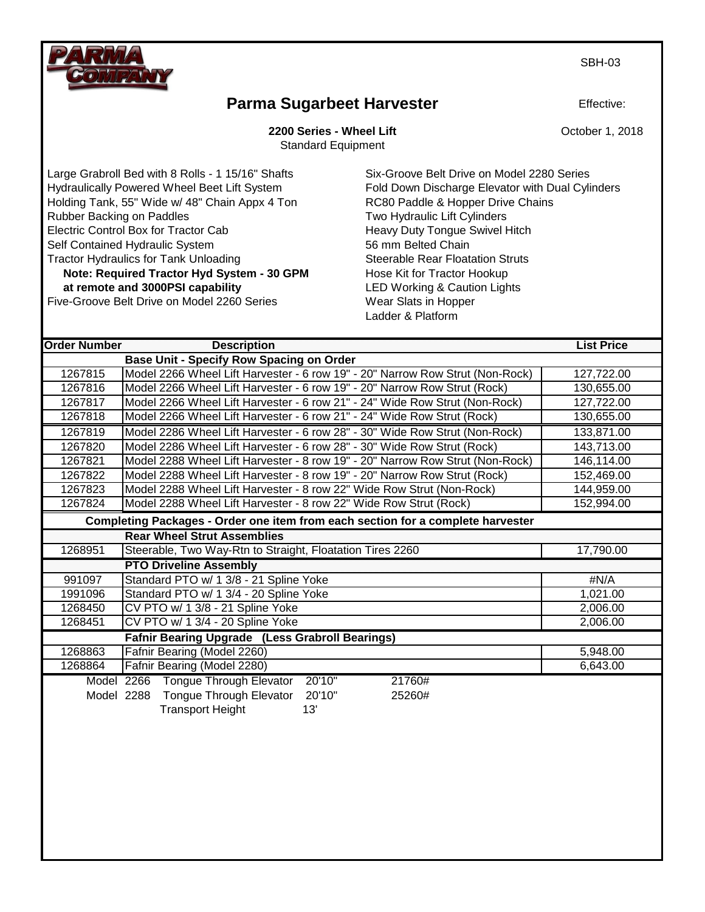SBH-03



### **Parma Sugarbeet Harvester**

**2200 Series - Wheel Lift**

Standard Equipment

Large Grabroll Bed with 8 Rolls - 1 15/16" Shafts Six-Groove Belt Drive on Model 2280 Series Hydraulically Powered Wheel Beet Lift System Fold Down Discharge Elevator with Dual Cylinders Holding Tank, 55" Wide w/ 48" Chain Appx 4 Ton RC80 Paddle & Hopper Drive Chains Rubber Backing on Paddles Two Hydraulic Lift Cylinders Electric Control Box for Tractor Cab **Heavy Duty Tongue Swivel Hitch** Self Contained Hydraulic System 56 mm Belted Chain Tractor Hydraulics for Tank Unloading **Steerable Rear Floatation Struts** Steerable Rear Floatation Struts **Note: Required Tractor Hyd System - 30 GPM Hose Kit for Tractor Hookup at remote and 3000PSI capability** LED Working & Caution Lights

Five-Groove Belt Drive on Model 2260 Series Wear Slats in Hopper

Ladder & Platform

| <b>Order Number</b>                                    | <b>Description</b>                                                              | <b>List Price</b> |  |  |
|--------------------------------------------------------|---------------------------------------------------------------------------------|-------------------|--|--|
|                                                        | <b>Base Unit - Specify Row Spacing on Order</b>                                 |                   |  |  |
| 1267815                                                | Model 2266 Wheel Lift Harvester - 6 row 19" - 20" Narrow Row Strut (Non-Rock)   | 127,722.00        |  |  |
| 1267816                                                | Model 2266 Wheel Lift Harvester - 6 row 19" - 20" Narrow Row Strut (Rock)       | 130,655.00        |  |  |
| 1267817                                                | Model 2266 Wheel Lift Harvester - 6 row 21" - 24" Wide Row Strut (Non-Rock)     | 127,722.00        |  |  |
| 1267818                                                | Model 2266 Wheel Lift Harvester - 6 row 21" - 24" Wide Row Strut (Rock)         | 130,655.00        |  |  |
| 1267819                                                | Model 2286 Wheel Lift Harvester - 6 row 28" - 30" Wide Row Strut (Non-Rock)     | 133,871.00        |  |  |
| 1267820                                                | Model 2286 Wheel Lift Harvester - 6 row 28" - 30" Wide Row Strut (Rock)         | 143,713.00        |  |  |
| 1267821                                                | Model 2288 Wheel Lift Harvester - 8 row 19" - 20" Narrow Row Strut (Non-Rock)   | 146,114.00        |  |  |
| 1267822                                                | Model 2288 Wheel Lift Harvester - 8 row 19" - 20" Narrow Row Strut (Rock)       | 152,469.00        |  |  |
| 1267823                                                | Model 2288 Wheel Lift Harvester - 8 row 22" Wide Row Strut (Non-Rock)           | 144,959.00        |  |  |
| 1267824                                                | Model 2288 Wheel Lift Harvester - 8 row 22" Wide Row Strut (Rock)               | 152,994.00        |  |  |
|                                                        | Completing Packages - Order one item from each section for a complete harvester |                   |  |  |
|                                                        | <b>Rear Wheel Strut Assemblies</b>                                              |                   |  |  |
| 1268951                                                | Steerable, Two Way-Rtn to Straight, Floatation Tires 2260                       | 17,790.00         |  |  |
|                                                        | <b>PTO Driveline Assembly</b>                                                   |                   |  |  |
| 991097                                                 | Standard PTO w/ 1 3/8 - 21 Spline Yoke                                          | #N/A              |  |  |
| 1991096                                                | Standard PTO w/ 1 3/4 - 20 Spline Yoke                                          | 1,021.00          |  |  |
| 1268450                                                | CV PTO w/ 1 3/8 - 21 Spline Yoke                                                | 2,006.00          |  |  |
| 1268451                                                | CV PTO w/ 1 3/4 - 20 Spline Yoke                                                | 2,006.00          |  |  |
| <b>Fafnir Bearing Upgrade (Less Grabroll Bearings)</b> |                                                                                 |                   |  |  |
| 1268863                                                | Fafnir Bearing (Model 2260)                                                     | 5,948.00          |  |  |
| 1268864                                                | Fafnir Bearing (Model 2280)                                                     | 6,643.00          |  |  |
| Model 2266                                             | Tongue Through Elevator<br>20'10"<br>21760#                                     |                   |  |  |
| Model 2288                                             | Tongue Through Elevator<br>20'10"<br>25260#                                     |                   |  |  |
|                                                        | 13'<br><b>Transport Height</b>                                                  |                   |  |  |

Effective: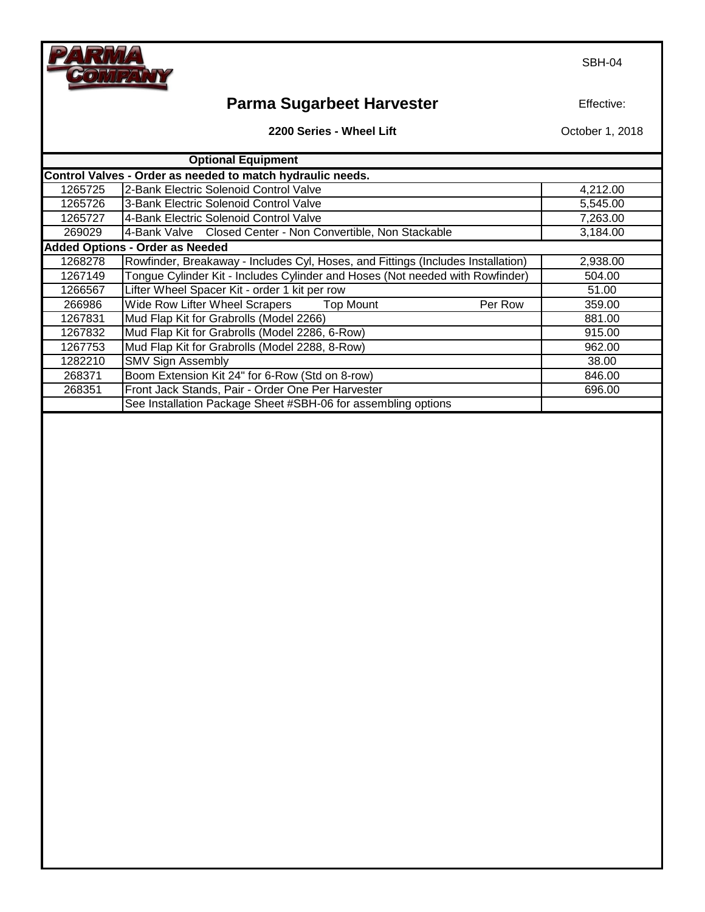SBH-04

# **Parma Sugarbeet Harvester**

Effective:

**2200 Series - Wheel Lift**

|         | <b>Optional Equipment</b>                                                        |          |
|---------|----------------------------------------------------------------------------------|----------|
|         | Control Valves - Order as needed to match hydraulic needs.                       |          |
| 1265725 | 12-Bank Electric Solenoid Control Valve                                          | 4,212.00 |
| 1265726 | 3-Bank Electric Solenoid Control Valve                                           | 5,545.00 |
| 1265727 | 4-Bank Electric Solenoid Control Valve                                           | 7,263.00 |
| 269029  | 4-Bank Valve Closed Center - Non Convertible, Non Stackable                      | 3,184.00 |
|         | <b>Added Options - Order as Needed</b>                                           |          |
| 1268278 | Rowfinder, Breakaway - Includes Cyl, Hoses, and Fittings (Includes Installation) | 2,938.00 |
| 1267149 | Tongue Cylinder Kit - Includes Cylinder and Hoses (Not needed with Rowfinder)    | 504.00   |
| 1266567 | Lifter Wheel Spacer Kit - order 1 kit per row                                    | 51.00    |
| 266986  | Wide Row Lifter Wheel Scrapers Top Mount<br>Per Row                              | 359.00   |
| 1267831 | Mud Flap Kit for Grabrolls (Model 2266)                                          | 881.00   |
| 1267832 | Mud Flap Kit for Grabrolls (Model 2286, 6-Row)                                   | 915.00   |
| 1267753 | Mud Flap Kit for Grabrolls (Model 2288, 8-Row)                                   | 962.00   |
| 1282210 | <b>SMV Sign Assembly</b>                                                         | 38.00    |
| 268371  | Boom Extension Kit 24" for 6-Row (Std on 8-row)                                  | 846.00   |
| 268351  | Front Jack Stands, Pair - Order One Per Harvester                                | 696.00   |
|         | See Installation Package Sheet #SBH-06 for assembling options                    |          |

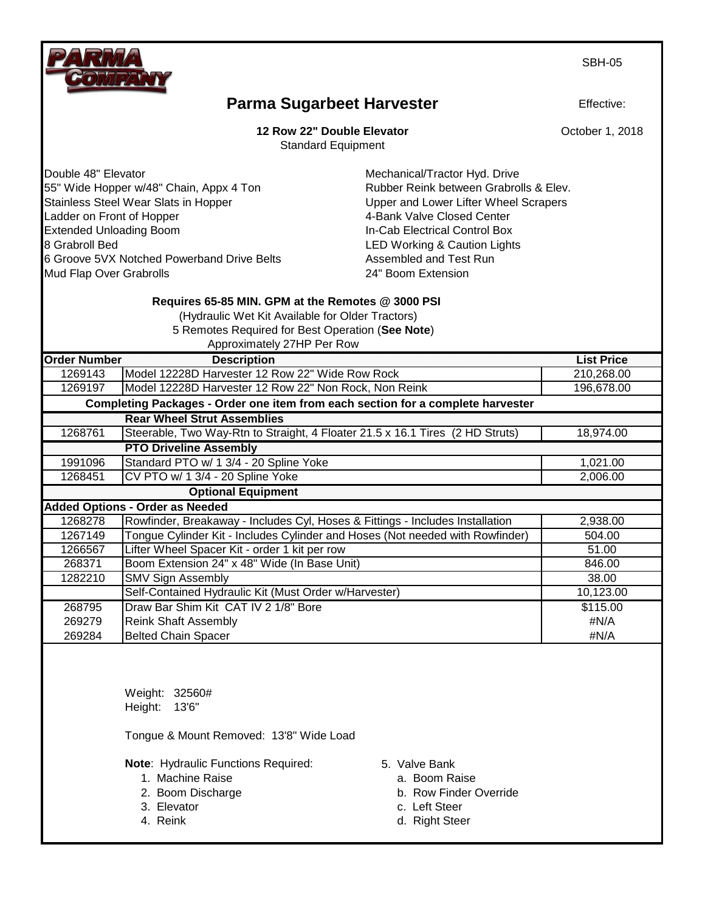SBH-05

#### **Parma Sugarbeet Harvester**

**12 Row 22" Double Elevator**

Standard Equipment

Double 48" Elevator **Mechanical/Tractor Hyd. Drive** Mechanical/Tractor Hyd. Drive 55" Wide Hopper w/48" Chain, Appx 4 Ton Rubber Reink between Grabrolls & Elev. Stainless Steel Wear Slats in Hopper North Communicuties Upper and Lower Lifter Wheel Scrapers Ladder on Front of Hopper 1980 1990 120 A 4-Bank Valve Closed Center Extended Unloading Boom **In-Cab Electrical Control Box** 8 Grabroll Bed **Accord 20 Grabroll Bed** LED Working & Caution Lights 6 Groove 5VX Notched Powerband Drive Belts **Assembled and Test Run** Mud Flap Over Grabrolls **24**" Boom Extension

#### **Requires 65-85 MIN. GPM at the Remotes @ 3000 PSI**

(Hydraulic Wet Kit Available for Older Tractors)

 5 Remotes Required for Best Operation (**See Note**) Approximately 27HP Per Row

|                     | $\mu$                                                                           |                   |
|---------------------|---------------------------------------------------------------------------------|-------------------|
| <b>Order Number</b> | <b>Description</b>                                                              | <b>List Price</b> |
| 1269143             | Model 12228D Harvester 12 Row 22" Wide Row Rock                                 | 210,268.00        |
| 1269197             | Model 12228D Harvester 12 Row 22" Non Rock, Non Reink                           | 196,678.00        |
|                     | Completing Packages - Order one item from each section for a complete harvester |                   |
|                     | <b>Rear Wheel Strut Assemblies</b>                                              |                   |
| 1268761             | Steerable, Two Way-Rtn to Straight, 4 Floater 21.5 x 16.1 Tires (2 HD Struts)   | 18,974.00         |
|                     | <b>PTO Driveline Assembly</b>                                                   |                   |
| 1991096             | Standard PTO w/ 1 3/4 - 20 Spline Yoke                                          | 1,021.00          |
| 1268451             | CV PTO w/ 1 3/4 - 20 Spline Yoke                                                | 2,006.00          |
|                     | <b>Optional Equipment</b>                                                       |                   |
|                     | <b>Added Options - Order as Needed</b>                                          |                   |
| 1268278             | Rowfinder, Breakaway - Includes Cyl, Hoses & Fittings - Includes Installation   | 2,938.00          |
| 1267149             | Tongue Cylinder Kit - Includes Cylinder and Hoses (Not needed with Rowfinder)   | 504.00            |
| 1266567             | Lifter Wheel Spacer Kit - order 1 kit per row                                   | 51.00             |
| 268371              | Boom Extension 24" x 48" Wide (In Base Unit)                                    | 846.00            |
| 1282210             | <b>SMV Sign Assembly</b>                                                        | 38.00             |
|                     | Self-Contained Hydraulic Kit (Must Order w/Harvester)                           | 10,123.00         |
| 268795              | Draw Bar Shim Kit CAT IV 2 1/8" Bore                                            | \$115.00          |
| 269279              | <b>Reink Shaft Assembly</b>                                                     | #N/A              |
| 269284              | <b>Belted Chain Spacer</b>                                                      | #N/A              |

Weight: 32560# Height: 13'6"

Tongue & Mount Removed: 13'8" Wide Load

**Note**: Hydraulic Functions Required: 5. Valve Bank

- 
- 
- 
- 
- 
- 1. Machine Raise **a.** Boom Raise
- 2. Boom Discharge b. Row Finder Override
- 3. Elevator c. Left Steer
- 4. Reink d. Right Steer



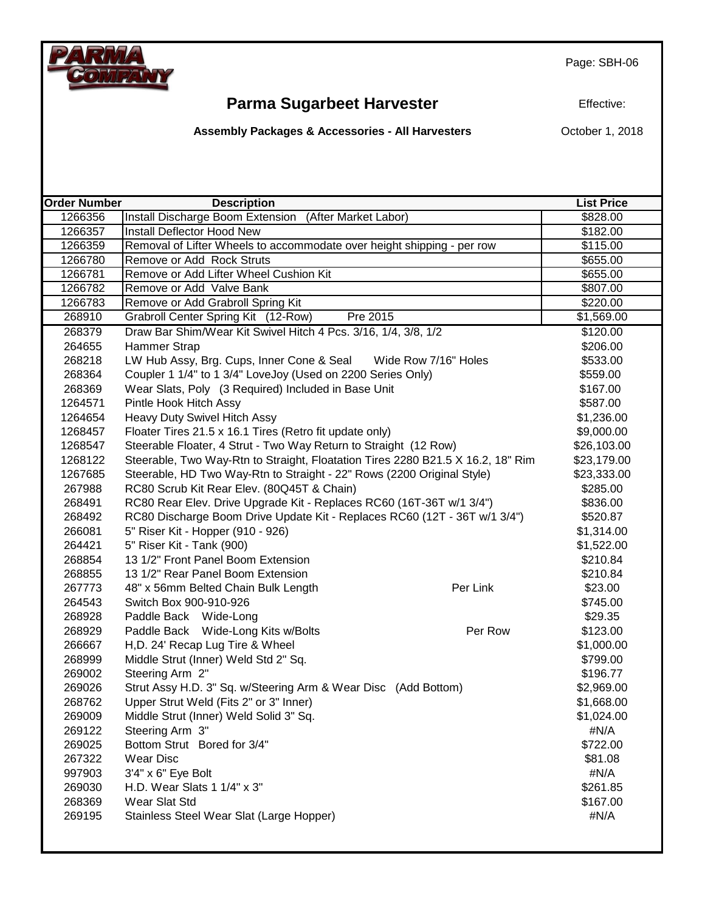Page: SBH-06



## **Parma Sugarbeet Harvester**

Effective:

**Assembly Packages & Accessories - All Harvesters**

| <b>Order Number</b> | <b>Description</b>                                                              |          | <b>List Price</b> |
|---------------------|---------------------------------------------------------------------------------|----------|-------------------|
| 1266356             | Install Discharge Boom Extension (After Market Labor)                           |          | \$828.00          |
| 1266357             | Install Deflector Hood New                                                      |          | \$182.00          |
| 1266359             | Removal of Lifter Wheels to accommodate over height shipping - per row          |          | \$115.00          |
| 1266780             | Remove or Add Rock Struts                                                       |          | \$655.00          |
| 1266781             | Remove or Add Lifter Wheel Cushion Kit                                          |          | \$655.00          |
| 1266782             | Remove or Add Valve Bank                                                        |          | \$807.00          |
| 1266783             | Remove or Add Grabroll Spring Kit                                               |          | \$220.00          |
| 268910              | Pre 2015<br>Grabroll Center Spring Kit (12-Row)                                 |          | \$1,569.00        |
| 268379              | Draw Bar Shim/Wear Kit Swivel Hitch 4 Pcs. 3/16, 1/4, 3/8, 1/2                  |          | \$120.00          |
| 264655              | Hammer Strap                                                                    |          | \$206.00          |
| 268218              | LW Hub Assy, Brg. Cups, Inner Cone & Seal Wide Row 7/16" Holes                  |          | \$533.00          |
| 268364              | Coupler 1 1/4" to 1 3/4" LoveJoy (Used on 2200 Series Only)                     |          | \$559.00          |
| 268369              | Wear Slats, Poly (3 Required) Included in Base Unit                             |          | \$167.00          |
| 1264571             | Pintle Hook Hitch Assy                                                          |          | \$587.00          |
| 1264654             | Heavy Duty Swivel Hitch Assy                                                    |          | \$1,236.00        |
| 1268457             | Floater Tires 21.5 x 16.1 Tires (Retro fit update only)                         |          | \$9,000.00        |
| 1268547             | Steerable Floater, 4 Strut - Two Way Return to Straight (12 Row)                |          | \$26,103.00       |
| 1268122             | Steerable, Two Way-Rtn to Straight, Floatation Tires 2280 B21.5 X 16.2, 18" Rim |          | \$23,179.00       |
| 1267685             | Steerable, HD Two Way-Rtn to Straight - 22" Rows (2200 Original Style)          |          | \$23,333.00       |
| 267988              | RC80 Scrub Kit Rear Elev. (80Q45T & Chain)                                      |          | \$285.00          |
| 268491              | RC80 Rear Elev. Drive Upgrade Kit - Replaces RC60 (16T-36T w/1 3/4")            |          | \$836.00          |
| 268492              | RC80 Discharge Boom Drive Update Kit - Replaces RC60 (12T - 36T w/1 3/4")       |          | \$520.87          |
| 266081              | 5" Riser Kit - Hopper (910 - 926)                                               |          | \$1,314.00        |
| 264421              | 5" Riser Kit - Tank (900)                                                       |          | \$1,522.00        |
| 268854              | 13 1/2" Front Panel Boom Extension                                              |          | \$210.84          |
| 268855              | 13 1/2" Rear Panel Boom Extension                                               |          | \$210.84          |
| 267773              | 48" x 56mm Belted Chain Bulk Length                                             | Per Link | \$23.00           |
| 264543              | Switch Box 900-910-926                                                          |          | \$745.00          |
| 268928              | Paddle Back Wide-Long                                                           |          | \$29.35           |
| 268929              | Paddle Back Wide-Long Kits w/Bolts                                              | Per Row  | \$123.00          |
| 266667              | H, D. 24' Recap Lug Tire & Wheel                                                |          | \$1,000.00        |
| 268999              | Middle Strut (Inner) Weld Std 2" Sq.                                            |          | \$799.00          |
| 269002              | Steering Arm 2"                                                                 |          | \$196.77          |
| 269026              | Strut Assy H.D. 3" Sq. w/Steering Arm & Wear Disc (Add Bottom)                  |          | \$2,969.00        |
| 268762              | Upper Strut Weld (Fits 2" or 3" Inner)                                          |          | \$1,668.00        |
| 269009              | Middle Strut (Inner) Weld Solid 3" Sq.                                          |          | \$1,024.00        |
| 269122              | Steering Arm 3"                                                                 |          | #N/A              |
| 269025              | Bottom Strut Bored for 3/4"                                                     |          | \$722.00          |
| 267322              | <b>Wear Disc</b>                                                                |          | \$81.08           |
| 997903              | 3'4" x 6" Eye Bolt                                                              |          | #N/A              |
| 269030              | H.D. Wear Slats 1 1/4" x 3"                                                     |          | \$261.85          |
| 268369              | Wear Slat Std                                                                   |          | \$167.00          |
| 269195              | Stainless Steel Wear Slat (Large Hopper)                                        |          | #N/A              |
|                     |                                                                                 |          |                   |